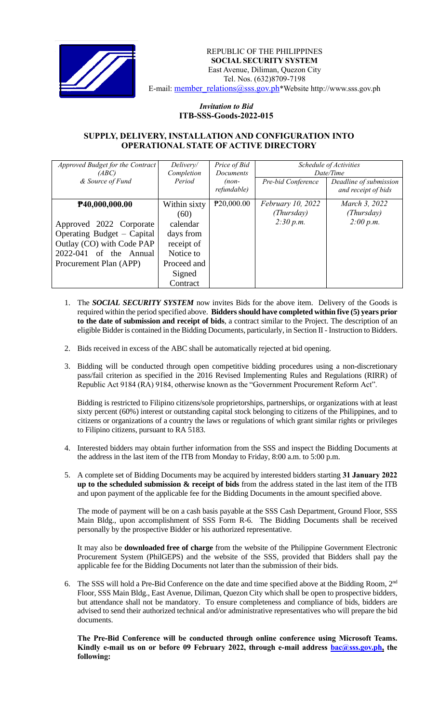

REPUBLIC OF THE PHILIPPINES  **SOCIAL SECURITY SYSTEM** East Avenue, Diliman, Quezon City Tel. Nos. (632)8709-7198 E-mail: [member\\_relations@sss.gov.ph](mailto:member_relations@sss.gov.ph)\*Website http://www.sss.gov.ph

## *Invitation to Bid*  **ITB-SSS-Goods-2022-015**

## **SUPPLY, DELIVERY, INSTALLATION AND CONFIGURATION INTO OPERATIONAL STATE OF ACTIVE DIRECTORY**

| Approved Budget for the Contract<br>(ABC)<br>& Source of Fund                                                                             | Delivery/<br>Completion<br>Period                                                     | Price of Bid<br>Documents<br>$(non-$ | Schedule of Activities<br>Date/Time |                                               |
|-------------------------------------------------------------------------------------------------------------------------------------------|---------------------------------------------------------------------------------------|--------------------------------------|-------------------------------------|-----------------------------------------------|
|                                                                                                                                           |                                                                                       | refundable)                          | Pre-bid Conference                  | Deadline of submission<br>and receipt of bids |
| P40,000,000.00                                                                                                                            | Within sixty<br>(60)                                                                  | P20,000.00                           | February 10, 2022<br>(Thursday)     | March 3, 2022<br>(Thursday)                   |
| Approved 2022 Corporate<br>Operating Budget – Capital<br>Outlay (CO) with Code PAP<br>2022-041<br>of the Annual<br>Procurement Plan (APP) | calendar<br>days from<br>receipt of<br>Notice to<br>Proceed and<br>Signed<br>Contract |                                      | 2:30 p.m.                           | 2:00 p.m.                                     |

- 1. The *SOCIAL SECURITY SYSTEM* now invites Bids for the above item. Delivery of the Goods is required within the period specified above. **Bidders should have completed within five (5) years prior to the date of submission and receipt of bids**, a contract similar to the Project. The description of an eligible Bidder is contained in the Bidding Documents, particularly, in Section II - Instruction to Bidders.
- 2. Bids received in excess of the ABC shall be automatically rejected at bid opening.
- 3. Bidding will be conducted through open competitive bidding procedures using a non-discretionary pass/fail criterion as specified in the 2016 Revised Implementing Rules and Regulations (RIRR) of Republic Act 9184 (RA) 9184, otherwise known as the "Government Procurement Reform Act".

Bidding is restricted to Filipino citizens/sole proprietorships, partnerships, or organizations with at least sixty percent (60%) interest or outstanding capital stock belonging to citizens of the Philippines, and to citizens or organizations of a country the laws or regulations of which grant similar rights or privileges to Filipino citizens, pursuant to RA 5183.

- 4. Interested bidders may obtain further information from the SSS and inspect the Bidding Documents at the address in the last item of the ITB from Monday to Friday, 8:00 a.m. to 5:00 p.m.
- 5. A complete set of Bidding Documents may be acquired by interested bidders starting **31 January 2022 up to the scheduled submission & receipt of bids** from the address stated in the last item of the ITB and upon payment of the applicable fee for the Bidding Documents in the amount specified above.

The mode of payment will be on a cash basis payable at the SSS Cash Department, Ground Floor, SSS Main Bldg., upon accomplishment of SSS Form R-6. The Bidding Documents shall be received personally by the prospective Bidder or his authorized representative.

It may also be **downloaded free of charge** from the website of the Philippine Government Electronic Procurement System (PhilGEPS) and the website of the SSS*,* provided that Bidders shall pay the applicable fee for the Bidding Documents not later than the submission of their bids.

6. The SSS will hold a Pre-Bid Conference on the date and time specified above at the Bidding Room, 2<sup>nd</sup> Floor, SSS Main Bldg., East Avenue, Diliman, Quezon City which shall be open to prospective bidders, but attendance shall not be mandatory. To ensure completeness and compliance of bids, bidders are advised to send their authorized technical and/or administrative representatives who will prepare the bid documents.

**The Pre-Bid Conference will be conducted through online conference using Microsoft Teams. Kindly e-mail us on or before 09 February 2022, through e-mail address [bac@sss.gov.ph,](mailto:bac@sss.gov.ph) the following:**